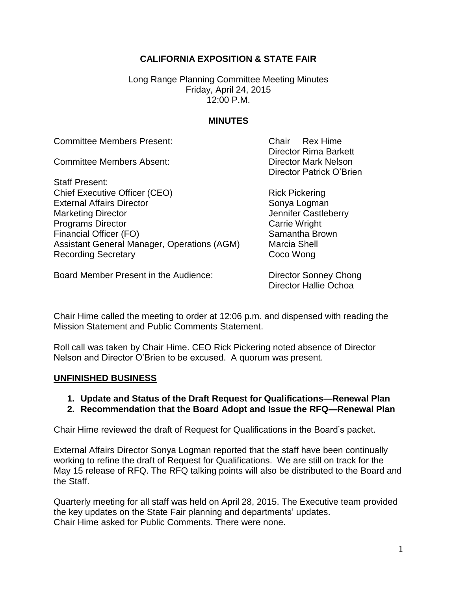## **CALIFORNIA EXPOSITION & STATE FAIR**

Long Range Planning Committee Meeting Minutes Friday, April 24, 2015 12:00 P.M.

### **MINUTES**

Committee Members Present: Chair Rex Hime

Committee Members Absent: Director Mark Nelson

Staff Present: Chief Executive Officer (CEO) Rick Pickering External Affairs Director Sonya Logman Marketing Director **Marketing Director** And Tennifer Castleberry **Programs Director** Carrie Wright Financial Officer (FO) Samantha Brown Assistant General Manager, Operations (AGM) Marcia Shell Recording Secretary **Coco Wong** 

Director Rima Barkett Director Patrick O'Brien

Board Member Present in the Audience: Director Sonney Chong

Director Hallie Ochoa

Chair Hime called the meeting to order at 12:06 p.m. and dispensed with reading the Mission Statement and Public Comments Statement.

Roll call was taken by Chair Hime. CEO Rick Pickering noted absence of Director Nelson and Director O'Brien to be excused. A quorum was present.

#### **UNFINISHED BUSINESS**

- **1. Update and Status of the Draft Request for Qualifications—Renewal Plan**
- **2. Recommendation that the Board Adopt and Issue the RFQ—Renewal Plan**

Chair Hime reviewed the draft of Request for Qualifications in the Board's packet.

External Affairs Director Sonya Logman reported that the staff have been continually working to refine the draft of Request for Qualifications. We are still on track for the May 15 release of RFQ. The RFQ talking points will also be distributed to the Board and the Staff.

Quarterly meeting for all staff was held on April 28, 2015. The Executive team provided the key updates on the State Fair planning and departments' updates. Chair Hime asked for Public Comments. There were none.